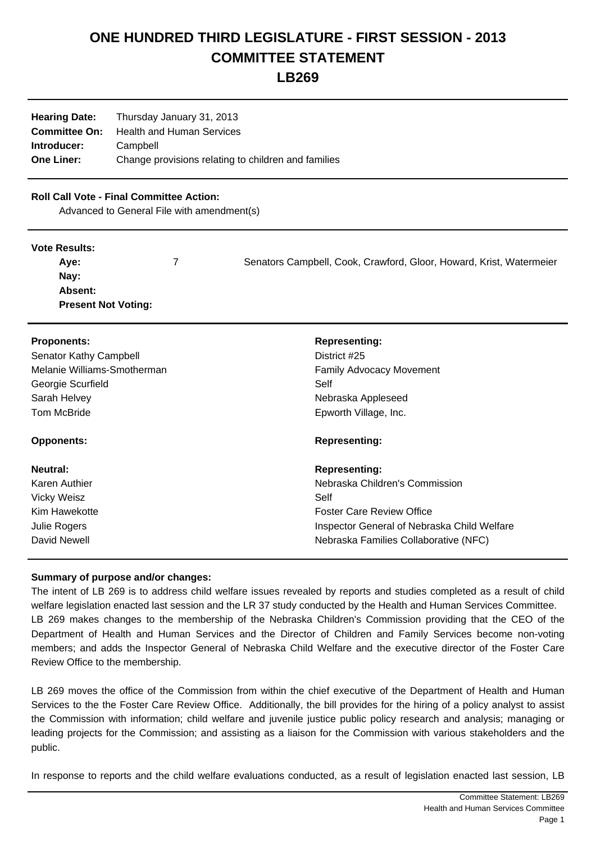# **ONE HUNDRED THIRD LEGISLATURE - FIRST SESSION - 2013 COMMITTEE STATEMENT**

**LB269**

| <b>Hearing Date:</b> | Thursday January 31, 2013                           |  |  |
|----------------------|-----------------------------------------------------|--|--|
|                      | <b>Committee On:</b> Health and Human Services      |  |  |
| Introducer:          | Campbell                                            |  |  |
| <b>One Liner:</b>    | Change provisions relating to children and families |  |  |

### **Roll Call Vote - Final Committee Action:**

Advanced to General File with amendment(s)

#### **Vote Results:**

| Ave:                       | Senators Campbell, Cook, Crawford, Gloor, Howard, Krist, Watermeier |
|----------------------------|---------------------------------------------------------------------|
| Nay:                       |                                                                     |
| <b>Absent:</b>             |                                                                     |
| <b>Present Not Voting:</b> |                                                                     |

| <b>Proponents:</b><br><b>Senator Kathy Campbell</b><br>Melanie Williams-Smotherman<br>Georgie Scurfield<br>Sarah Helvey | <b>Representing:</b><br>District #25<br><b>Family Advocacy Movement</b><br>Self<br>Nebraska Appleseed |
|-------------------------------------------------------------------------------------------------------------------------|-------------------------------------------------------------------------------------------------------|
| <b>Tom McBride</b><br><b>Opponents:</b>                                                                                 | Epworth Village, Inc.<br><b>Representing:</b>                                                         |
| Neutral:                                                                                                                | <b>Representing:</b>                                                                                  |
| Karen Authier                                                                                                           | Nebraska Children's Commission                                                                        |
| <b>Vicky Weisz</b>                                                                                                      | Self                                                                                                  |
| Kim Hawekotte                                                                                                           | <b>Foster Care Review Office</b>                                                                      |
| Julie Rogers                                                                                                            | Inspector General of Nebraska Child Welfare                                                           |
| David Newell                                                                                                            | Nebraska Families Collaborative (NFC)                                                                 |

## **Summary of purpose and/or changes:**

The intent of LB 269 is to address child welfare issues revealed by reports and studies completed as a result of child welfare legislation enacted last session and the LR 37 study conducted by the Health and Human Services Committee. LB 269 makes changes to the membership of the Nebraska Children's Commission providing that the CEO of the Department of Health and Human Services and the Director of Children and Family Services become non-voting members; and adds the Inspector General of Nebraska Child Welfare and the executive director of the Foster Care Review Office to the membership.

LB 269 moves the office of the Commission from within the chief executive of the Department of Health and Human Services to the the Foster Care Review Office. Additionally, the bill provides for the hiring of a policy analyst to assist the Commission with information; child welfare and juvenile justice public policy research and analysis; managing or leading projects for the Commission; and assisting as a liaison for the Commission with various stakeholders and the public.

In response to reports and the child welfare evaluations conducted, as a result of legislation enacted last session, LB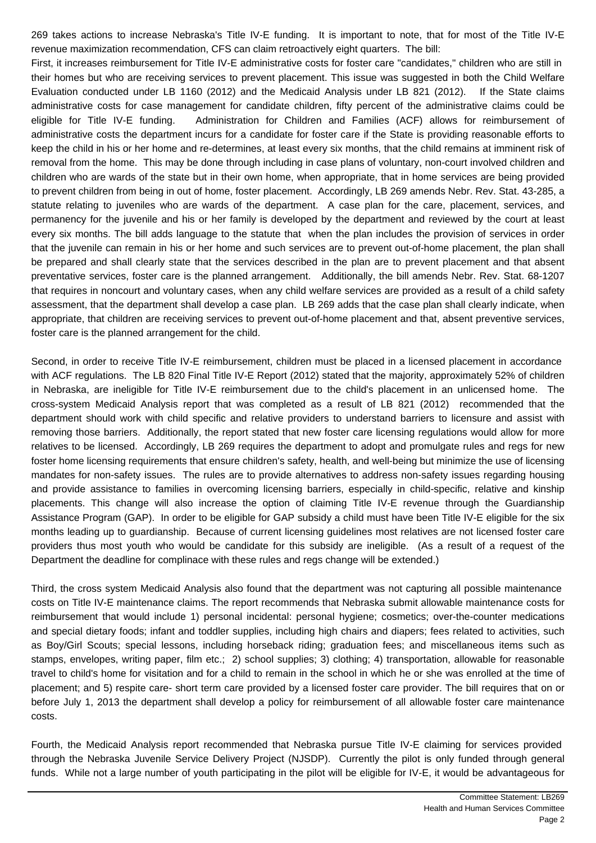269 takes actions to increase Nebraska's Title IV-E funding. It is important to note, that for most of the Title IV-E revenue maximization recommendation, CFS can claim retroactively eight quarters. The bill:

 First, it increases reimbursement for Title IV-E administrative costs for foster care "candidates," children who are still in their homes but who are receiving services to prevent placement. This issue was suggested in both the Child Welfare Evaluation conducted under LB 1160 (2012) and the Medicaid Analysis under LB 821 (2012). If the State claims administrative costs for case management for candidate children, fifty percent of the administrative claims could be eligible for Title IV-E funding. Administration for Children and Families (ACF) allows for reimbursement of administrative costs the department incurs for a candidate for foster care if the State is providing reasonable efforts to keep the child in his or her home and re-determines, at least every six months, that the child remains at imminent risk of removal from the home. This may be done through including in case plans of voluntary, non-court involved children and children who are wards of the state but in their own home, when appropriate, that in home services are being provided to prevent children from being in out of home, foster placement. Accordingly, LB 269 amends Nebr. Rev. Stat. 43-285, a statute relating to juveniles who are wards of the department. A case plan for the care, placement, services, and permanency for the juvenile and his or her family is developed by the department and reviewed by the court at least every six months. The bill adds language to the statute that when the plan includes the provision of services in order that the juvenile can remain in his or her home and such services are to prevent out-of-home placement, the plan shall be prepared and shall clearly state that the services described in the plan are to prevent placement and that absent preventative services, foster care is the planned arrangement. Additionally, the bill amends Nebr. Rev. Stat. 68-1207 that requires in noncourt and voluntary cases, when any child welfare services are provided as a result of a child safety assessment, that the department shall develop a case plan. LB 269 adds that the case plan shall clearly indicate, when appropriate, that children are receiving services to prevent out-of-home placement and that, absent preventive services, foster care is the planned arrangement for the child.

 Second, in order to receive Title IV-E reimbursement, children must be placed in a licensed placement in accordance with ACF regulations. The LB 820 Final Title IV-E Report (2012) stated that the majority, approximately 52% of children in Nebraska, are ineligible for Title IV-E reimbursement due to the child's placement in an unlicensed home. The cross-system Medicaid Analysis report that was completed as a result of LB 821 (2012) recommended that the department should work with child specific and relative providers to understand barriers to licensure and assist with removing those barriers. Additionally, the report stated that new foster care licensing regulations would allow for more relatives to be licensed. Accordingly, LB 269 requires the department to adopt and promulgate rules and regs for new foster home licensing requirements that ensure children's safety, health, and well-being but minimize the use of licensing mandates for non-safety issues. The rules are to provide alternatives to address non-safety issues regarding housing and provide assistance to families in overcoming licensing barriers, especially in child-specific, relative and kinship placements. This change will also increase the option of claiming Title IV-E revenue through the Guardianship Assistance Program (GAP). In order to be eligible for GAP subsidy a child must have been Title IV-E eligible for the six months leading up to guardianship. Because of current licensing guidelines most relatives are not licensed foster care providers thus most youth who would be candidate for this subsidy are ineligible. (As a result of a request of the Department the deadline for complinace with these rules and regs change will be extended.)

 Third, the cross system Medicaid Analysis also found that the department was not capturing all possible maintenance costs on Title IV-E maintenance claims. The report recommends that Nebraska submit allowable maintenance costs for reimbursement that would include 1) personal incidental: personal hygiene; cosmetics; over-the-counter medications and special dietary foods; infant and toddler supplies, including high chairs and diapers; fees related to activities, such as Boy/Girl Scouts; special lessons, including horseback riding; graduation fees; and miscellaneous items such as stamps, envelopes, writing paper, film etc.; 2) school supplies; 3) clothing; 4) transportation, allowable for reasonable travel to child's home for visitation and for a child to remain in the school in which he or she was enrolled at the time of placement; and 5) respite care- short term care provided by a licensed foster care provider. The bill requires that on or before July 1, 2013 the department shall develop a policy for reimbursement of all allowable foster care maintenance costs.

 Fourth, the Medicaid Analysis report recommended that Nebraska pursue Title IV-E claiming for services provided through the Nebraska Juvenile Service Delivery Project (NJSDP). Currently the pilot is only funded through general funds. While not a large number of youth participating in the pilot will be eligible for IV-E, it would be advantageous for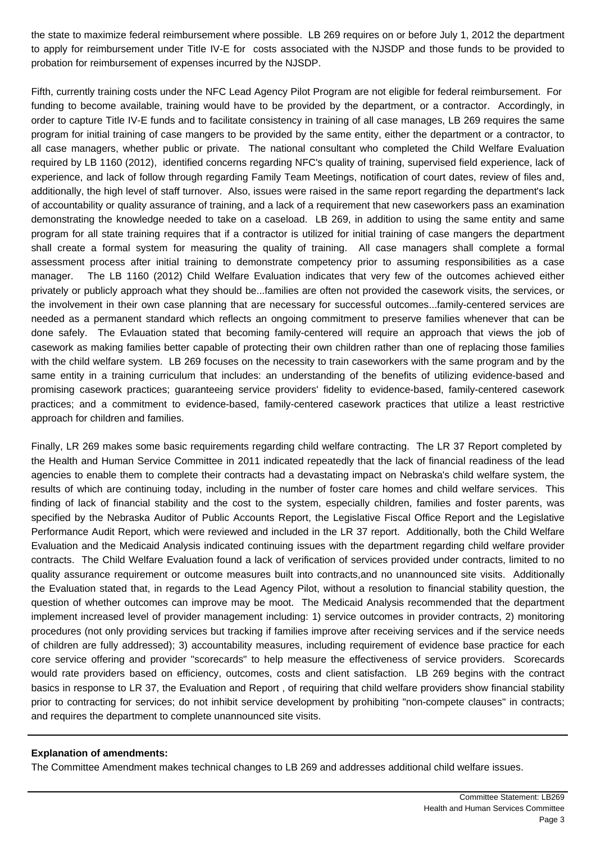the state to maximize federal reimbursement where possible. LB 269 requires on or before July 1, 2012 the department to apply for reimbursement under Title IV-E for costs associated with the NJSDP and those funds to be provided to probation for reimbursement of expenses incurred by the NJSDP.

 Fifth, currently training costs under the NFC Lead Agency Pilot Program are not eligible for federal reimbursement. For funding to become available, training would have to be provided by the department, or a contractor. Accordingly, in order to capture Title IV-E funds and to facilitate consistency in training of all case manages, LB 269 requires the same program for initial training of case mangers to be provided by the same entity, either the department or a contractor, to all case managers, whether public or private. The national consultant who completed the Child Welfare Evaluation required by LB 1160 (2012), identified concerns regarding NFC's quality of training, supervised field experience, lack of experience, and lack of follow through regarding Family Team Meetings, notification of court dates, review of files and, additionally, the high level of staff turnover. Also, issues were raised in the same report regarding the department's lack of accountability or quality assurance of training, and a lack of a requirement that new caseworkers pass an examination demonstrating the knowledge needed to take on a caseload. LB 269, in addition to using the same entity and same program for all state training requires that if a contractor is utilized for initial training of case mangers the department shall create a formal system for measuring the quality of training. All case managers shall complete a formal assessment process after initial training to demonstrate competency prior to assuming responsibilities as a case manager. The LB 1160 (2012) Child Welfare Evaluation indicates that very few of the outcomes achieved either privately or publicly approach what they should be...families are often not provided the casework visits, the services, or the involvement in their own case planning that are necessary for successful outcomes...family-centered services are needed as a permanent standard which reflects an ongoing commitment to preserve families whenever that can be done safely. The Evlauation stated that becoming family-centered will require an approach that views the job of casework as making families better capable of protecting their own children rather than one of replacing those families with the child welfare system. LB 269 focuses on the necessity to train caseworkers with the same program and by the same entity in a training curriculum that includes: an understanding of the benefits of utilizing evidence-based and promising casework practices; guaranteeing service providers' fidelity to evidence-based, family-centered casework practices; and a commitment to evidence-based, family-centered casework practices that utilize a least restrictive approach for children and families.

 Finally, LR 269 makes some basic requirements regarding child welfare contracting. The LR 37 Report completed by the Health and Human Service Committee in 2011 indicated repeatedly that the lack of financial readiness of the lead agencies to enable them to complete their contracts had a devastating impact on Nebraska's child welfare system, the results of which are continuing today, including in the number of foster care homes and child welfare services. This finding of lack of financial stability and the cost to the system, especially children, families and foster parents, was specified by the Nebraska Auditor of Public Accounts Report, the Legislative Fiscal Office Report and the Legislative Performance Audit Report, which were reviewed and included in the LR 37 report. Additionally, both the Child Welfare Evaluation and the Medicaid Analysis indicated continuing issues with the department regarding child welfare provider contracts. The Child Welfare Evaluation found a lack of verification of services provided under contracts, limited to no quality assurance requirement or outcome measures built into contracts,and no unannounced site visits. Additionally the Evaluation stated that, in regards to the Lead Agency Pilot, without a resolution to financial stability question, the question of whether outcomes can improve may be moot. The Medicaid Analysis recommended that the department implement increased level of provider management including: 1) service outcomes in provider contracts, 2) monitoring procedures (not only providing services but tracking if families improve after receiving services and if the service needs of children are fully addressed); 3) accountability measures, including requirement of evidence base practice for each core service offering and provider "scorecards" to help measure the effectiveness of service providers. Scorecards would rate providers based on efficiency, outcomes, costs and client satisfaction. LB 269 begins with the contract basics in response to LR 37, the Evaluation and Report , of requiring that child welfare providers show financial stability prior to contracting for services; do not inhibit service development by prohibiting "non-compete clauses" in contracts; and requires the department to complete unannounced site visits.

#### **Explanation of amendments:**

The Committee Amendment makes technical changes to LB 269 and addresses additional child welfare issues.